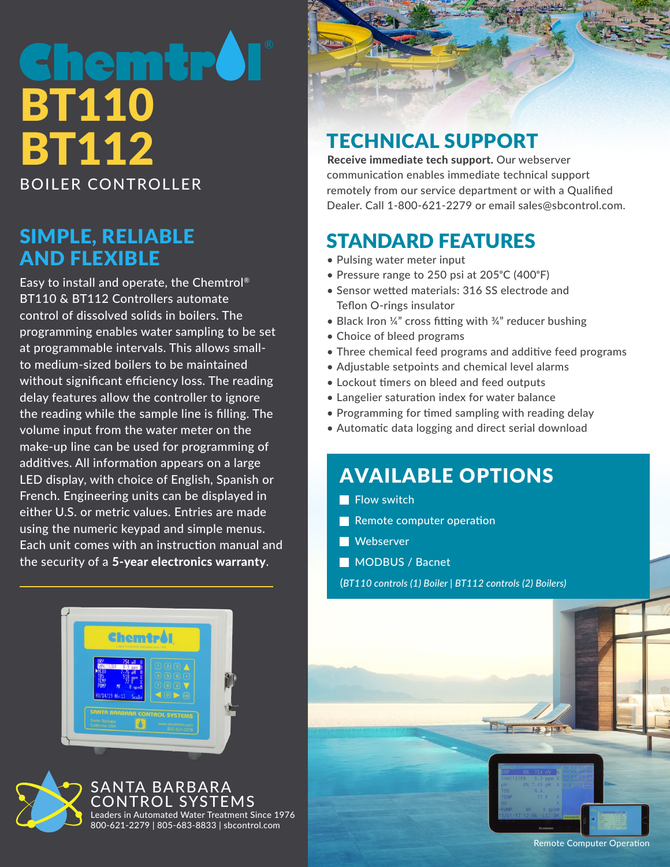# **emtr** BT110 BT112 BOILER CONTROLLER

#### SIMPLE, RELIABLE AND FLEXIBLE

Easy to install and operate, the Chemtrol® BT110 & BT112 Controllers automate control of dissolved solids in boilers. The programming enables water sampling to be set at programmable intervals. This allows smallto medium-sized boilers to be maintained without significant efficiency loss. The reading delay features allow the controller to ignore the reading while the sample line is filling. The volume input from the water meter on the make-up line can be used for programming of additives. All information appears on a large LED display, with choice of English, Spanish or French. Engineering units can be displayed in either U.S. or metric values. Entries are made using the numeric keypad and simple menus. Each unit comes with an instruction manual and the security of a 5-year electronics warranty.





ANTA BARBARA ROI SYSTEMS Leaders in Automated Water Treatment Since 1976 800-621-2279 | 805-683-8833 | sbcontrol.com

## TECHNICAL SUPPORT

Receive immediate tech support. Our webserver communication enables immediate technical support remotely from our service department or with a Qualified Dealer. Call 1-800-621-2279 or email sales@sbcontrol.com.

## STANDARD FEATURES

- Pulsing water meter input
- Pressure range to 250 psi at  $205^{\circ}$ C (400 $^{\circ}$ F)
- Sensor wetted materials: 316 SS electrode and Teflon O-rings insulator
- Black Iron ¼" cross fitting with ¼" reducer bushing
- Choice of bleed programs
- Three chemical feed programs and additive feed programs
- Adjustable setpoints and chemical level alarms
- Lockout timers on bleed and feed outputs
- Langelier saturation index for water balance
- Programming for timed sampling with reading delay
- Automatic data logging and direct serial download

#### AVAILABLE OPTIONS

- $\blacksquare$  Flow switch
- Remote computer operation
- **Webserver**
- **MODBUS / Bacnet**

(*BT110 controls (1) Boiler | BT112 controls (2) Boilers)*